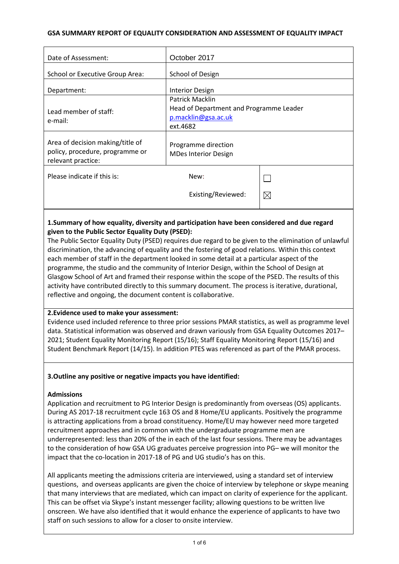### **GSA SUMMARY REPORT OF EQUALITY CONSIDERATION AND ASSESSMENT OF EQUALITY IMPACT**

| Date of Assessment:                                                                       | October 2017                                                                                  |             |
|-------------------------------------------------------------------------------------------|-----------------------------------------------------------------------------------------------|-------------|
| School or Executive Group Area:                                                           | School of Design                                                                              |             |
| Department:                                                                               | <b>Interior Design</b>                                                                        |             |
| Lead member of staff:<br>e-mail:                                                          | Patrick Macklin<br>Head of Department and Programme Leader<br>p.macklin@gsa.ac.uk<br>ext.4682 |             |
| Area of decision making/title of<br>policy, procedure, programme or<br>relevant practice: | Programme direction<br><b>MDes Interior Design</b>                                            |             |
| Please indicate if this is:                                                               | New:                                                                                          |             |
|                                                                                           | Existing/Reviewed:                                                                            | $\boxtimes$ |

# **1.Summary of how equality, diversity and participation have been considered and due regard given to the Public Sector Equality Duty (PSED):**

The Public Sector Equality Duty (PSED) requires due regard to be given to the elimination of unlawful discrimination, the advancing of equality and the fostering of good relations. Within this context each member of staff in the department looked in some detail at a particular aspect of the programme, the studio and the community of Interior Design, within the School of Design at Glasgow School of Art and framed their response within the scope of the PSED. The results of this activity have contributed directly to this summary document. The process is iterative, durational, reflective and ongoing, the document content is collaborative.

## **2.Evidence used to make your assessment:**

Evidence used included reference to three prior sessions PMAR statistics, as well as programme level data. Statistical information was observed and drawn variously from GSA Equality Outcomes 2017– 2021; Student Equality Monitoring Report (15/16); Staff Equality Monitoring Report (15/16) and Student Benchmark Report (14/15). In addition PTES was referenced as part of the PMAR process.

### **3.Outline any positive or negative impacts you have identified:**

### **Admissions**

Application and recruitment to PG Interior Design is predominantly from overseas (OS) applicants. During AS 2017-18 recruitment cycle 163 OS and 8 Home/EU applicants. Positively the programme is attracting applications from a broad constituency. Home/EU may however need more targeted recruitment approaches and in common with the undergraduate programme men are underrepresented: less than 20% of the in each of the last four sessions. There may be advantages to the consideration of how GSA UG graduates perceive progression into PG– we will monitor the impact that the co-location in 2017-18 of PG and UG studio's has on this.

All applicants meeting the admissions criteria are interviewed, using a standard set of interview questions, and overseas applicants are given the choice of interview by telephone or skype meaning that many interviews that are mediated, which can impact on clarity of experience for the applicant. This can be offset via Skype's instant messenger facility; allowing questions to be written live onscreen. We have also identified that it would enhance the experience of applicants to have two staff on such sessions to allow for a closer to onsite interview.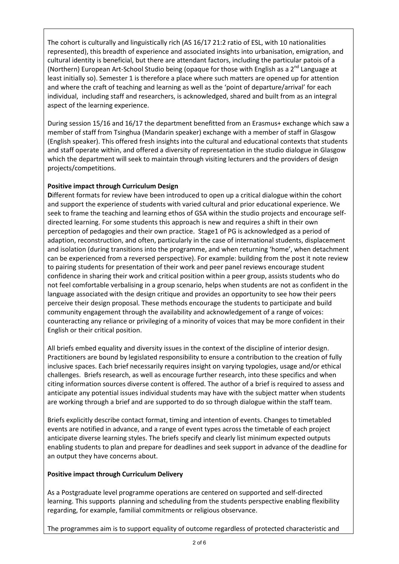The cohort is culturally and linguistically rich (AS 16/17 21:2 ratio of ESL, with 10 nationalities represented), this breadth of experience and associated insights into urbanisation, emigration, and cultural identity is beneficial, but there are attendant factors, including the particular patois of a (Northern) European Art-School Studio being (opaque for those with English as a  $2^{nd}$  Language at least initially so). Semester 1 is therefore a place where such matters are opened up for attention and where the craft of teaching and learning as well as the 'point of departure/arrival' for each individual, including staff and researchers, is acknowledged, shared and built from as an integral aspect of the learning experience.

During session 15/16 and 16/17 the department benefitted from an Erasmus+ exchange which saw a member of staff from Tsinghua (Mandarin speaker) exchange with a member of staff in Glasgow (English speaker). This offered fresh insights into the cultural and educational contexts that students and staff operate within, and offered a diversity of representation in the studio dialogue in Glasgow which the department will seek to maintain through visiting lecturers and the providers of design projects/competitions.

# **Positive impact through Curriculum Design**

**D**ifferent formats for review have been introduced to open up a critical dialogue within the cohort and support the experience of students with varied cultural and prior educational experience. We seek to frame the teaching and learning ethos of GSA within the studio projects and encourage selfdirected learning. For some students this approach is new and requires a shift in their own perception of pedagogies and their own practice. Stage1 of PG is acknowledged as a period of adaption, reconstruction, and often, particularly in the case of international students, displacement and isolation (during transitions into the programme, and when returning 'home', when detachment can be experienced from a reversed perspective). For example: building from the post it note review to pairing students for presentation of their work and peer panel reviews encourage student confidence in sharing their work and critical position within a peer group, assists students who do not feel comfortable verbalising in a group scenario, helps when students are not as confident in the language associated with the design critique and provides an opportunity to see how their peers perceive their design proposal. These methods encourage the students to participate and build community engagement through the availability and acknowledgement of a range of voices: counteracting any reliance or privileging of a minority of voices that may be more confident in their English or their critical position.

All briefs embed equality and diversity issues in the context of the discipline of interior design. Practitioners are bound by legislated responsibility to ensure a contribution to the creation of fully inclusive spaces. Each brief necessarily requires insight on varying typologies, usage and/or ethical challenges. Briefs research, as well as encourage further research, into these specifics and when citing information sources diverse content is offered. The author of a brief is required to assess and anticipate any potential issues individual students may have with the subject matter when students are working through a brief and are supported to do so through dialogue within the staff team.

Briefs explicitly describe contact format, timing and intention of events. Changes to timetabled events are notified in advance, and a range of event types across the timetable of each project anticipate diverse learning styles. The briefs specify and clearly list minimum expected outputs enabling students to plan and prepare for deadlines and seek support in advance of the deadline for an output they have concerns about.

## **Positive impact through Curriculum Delivery**

As a Postgraduate level programme operations are centered on supported and self-directed learning. This supports planning and scheduling from the students perspective enabling flexibility regarding, for example, familial commitments or religious observance.

The programmes aim is to support equality of outcome regardless of protected characteristic and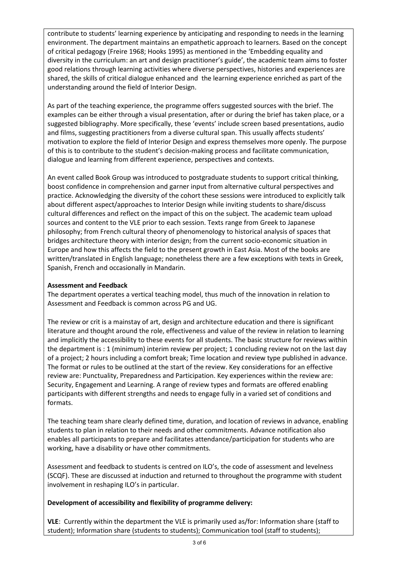contribute to students' learning experience by anticipating and responding to needs in the learning environment. The department maintains an empathetic approach to learners. Based on the concept of critical pedagogy (Freire 1968; Hooks 1995) as mentioned in the 'Embedding equality and diversity in the curriculum: an art and design practitioner's guide', the academic team aims to foster good relations through learning activities where diverse perspectives, histories and experiences are shared, the skills of critical dialogue enhanced and the learning experience enriched as part of the understanding around the field of Interior Design.

As part of the teaching experience, the programme offers suggested sources with the brief. The examples can be either through a visual presentation, after or during the brief has taken place, or a suggested bibliography. More specifically, these 'events' include screen based presentations, audio and films, suggesting practitioners from a diverse cultural span. This usually affects students' motivation to explore the field of Interior Design and express themselves more openly. The purpose of this is to contribute to the student's decision-making process and facilitate communication, dialogue and learning from different experience, perspectives and contexts.

An event called Book Group was introduced to postgraduate students to support critical thinking, boost confidence in comprehension and garner input from alternative cultural perspectives and practice. Acknowledging the diversity of the cohort these sessions were introduced to explicitly talk about different aspect/approaches to Interior Design while inviting students to share/discuss cultural differences and reflect on the impact of this on the subject. The academic team upload sources and content to the VLE prior to each session. Texts range from Greek to Japanese philosophy; from French cultural theory of phenomenology to historical analysis of spaces that bridges architecture theory with interior design; from the current socio-economic situation in Europe and how this affects the field to the present growth in East Asia. Most of the books are written/translated in English language; nonetheless there are a few exceptions with texts in Greek, Spanish, French and occasionally in Mandarin.

## **Assessment and Feedback**

The department operates a vertical teaching model, thus much of the innovation in relation to Assessment and Feedback is common across PG and UG.

The review or crit is a mainstay of art, design and architecture education and there is significant literature and thought around the role, effectiveness and value of the review in relation to learning and implicitly the accessibility to these events for all students. The basic structure for reviews within the department is : 1 (minimum) interim review per project; 1 concluding review not on the last day of a project; 2 hours including a comfort break; Time location and review type published in advance. The format or rules to be outlined at the start of the review. Key considerations for an effective review are: Punctuality, Preparedness and Participation. Key experiences within the review are: Security, Engagement and Learning. A range of review types and formats are offered enabling participants with different strengths and needs to engage fully in a varied set of conditions and formats.

The teaching team share clearly defined time, duration, and location of reviews in advance, enabling students to plan in relation to their needs and other commitments. Advance notification also enables all participants to prepare and facilitates attendance/participation for students who are working, have a disability or have other commitments.

Assessment and feedback to students is centred on ILO's, the code of assessment and levelness (SCQF). These are discussed at induction and returned to throughout the programme with student involvement in reshaping ILO's in particular.

## **Development of accessibility and flexibility of programme delivery:**

**VLE**: Currently within the department the VLE is primarily used as/for: Information share (staff to student); Information share (students to students); Communication tool (staff to students);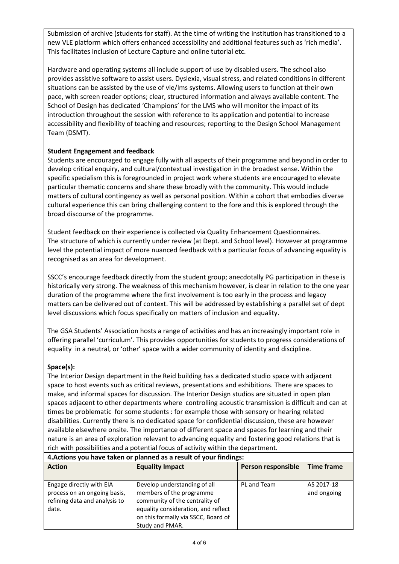Submission of archive (students for staff). At the time of writing the institution has transitioned to a new VLE platform which offers enhanced accessibility and additional features such as 'rich media'. This facilitates inclusion of Lecture Capture and online tutorial etc.

Hardware and operating systems all include support of use by disabled users. The school also provides assistive software to assist users. Dyslexia, visual stress, and related conditions in different situations can be assisted by the use of vle/lms systems. Allowing users to function at their own pace, with screen reader options; clear, structured information and always available content. The School of Design has dedicated 'Champions' for the LMS who will monitor the impact of its introduction throughout the session with reference to its application and potential to increase accessibility and flexibility of teaching and resources; reporting to the Design School Management Team (DSMT).

# **Student Engagement and feedback**

Students are encouraged to engage fully with all aspects of their programme and beyond in order to develop critical enquiry, and cultural/contextual investigation in the broadest sense. Within the specific specialism this is foregrounded in project work where students are encouraged to elevate particular thematic concerns and share these broadly with the community. This would include matters of cultural contingency as well as personal position. Within a cohort that embodies diverse cultural experience this can bring challenging content to the fore and this is explored through the broad discourse of the programme.

Student feedback on their experience is collected via Quality Enhancement Questionnaires. The structure of which is currently under review (at Dept. and School level). However at programme level the potential impact of more nuanced feedback with a particular focus of advancing equality is recognised as an area for development.

SSCC's encourage feedback directly from the student group; anecdotally PG participation in these is historically very strong. The weakness of this mechanism however, is clear in relation to the one year duration of the programme where the first involvement is too early in the process and legacy matters can be delivered out of context. This will be addressed by establishing a parallel set of dept level discussions which focus specifically on matters of inclusion and equality.

The GSA Students' Association hosts a range of activities and has an increasingly important role in offering parallel 'curriculum'. This provides opportunities for students to progress considerations of equality in a neutral, or 'other' space with a wider community of identity and discipline.

## **Space(s):**

The Interior Design department in the Reid building has a dedicated studio space with adjacent space to host events such as critical reviews, presentations and exhibitions. There are spaces to make, and informal spaces for discussion. The Interior Design studios are situated in open plan spaces adjacent to other departments where controlling acoustic transmission is difficult and can at times be problematic for some students : for example those with sensory or hearing related disabilities. Currently there is no dedicated space for confidential discussion, these are however available elsewhere onsite. The importance of different space and spaces for learning and their nature is an area of exploration relevant to advancing equality and fostering good relations that is rich with possibilities and a potential focus of activity within the department.

| 4. Actions you have taken or planned as a result of your findings:                                 |                                                                                                                                   |                    |                           |
|----------------------------------------------------------------------------------------------------|-----------------------------------------------------------------------------------------------------------------------------------|--------------------|---------------------------|
| <b>Action</b>                                                                                      | <b>Equality Impact</b>                                                                                                            | Person responsible | <b>Time frame</b>         |
|                                                                                                    |                                                                                                                                   |                    |                           |
| Engage directly with EIA<br>process on an ongoing basis,<br>refining data and analysis to<br>date. | Develop understanding of all<br>members of the programme<br>community of the centrality of<br>equality consideration, and reflect | PL and Team        | AS 2017-18<br>and ongoing |
|                                                                                                    | on this formally via SSCC, Board of<br>Study and PMAR.                                                                            |                    |                           |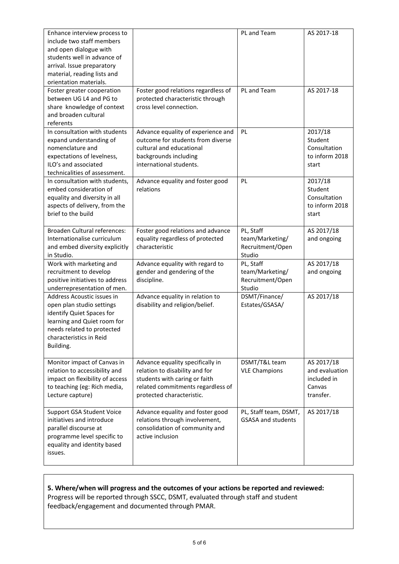| Enhance interview process to<br>include two staff members |                                                                         | PL and Team                           | AS 2017-18                   |
|-----------------------------------------------------------|-------------------------------------------------------------------------|---------------------------------------|------------------------------|
| and open dialogue with<br>students well in advance of     |                                                                         |                                       |                              |
| arrival. Issue preparatory                                |                                                                         |                                       |                              |
| material, reading lists and                               |                                                                         |                                       |                              |
| orientation materials.                                    |                                                                         |                                       |                              |
| Foster greater cooperation                                | Foster good relations regardless of                                     | PL and Team                           | AS 2017-18                   |
| between UG L4 and PG to                                   | protected characteristic through                                        |                                       |                              |
| share knowledge of context                                | cross level connection.                                                 |                                       |                              |
| and broaden cultural                                      |                                                                         |                                       |                              |
| referents                                                 |                                                                         |                                       |                              |
| In consultation with students                             | Advance equality of experience and<br>outcome for students from diverse | PL                                    | 2017/18<br>Student           |
| expand understanding of<br>nomenclature and               | cultural and educational                                                |                                       | Consultation                 |
| expectations of levelness,                                | backgrounds including                                                   |                                       | to inform 2018               |
| ILO's and associated                                      | international students.                                                 |                                       | start                        |
| technicalities of assessment.                             |                                                                         |                                       |                              |
| In consultation with students,                            | Advance equality and foster good                                        | PL                                    | 2017/18                      |
| embed consideration of                                    | relations                                                               |                                       | Student                      |
| equality and diversity in all                             |                                                                         |                                       | Consultation                 |
| aspects of delivery, from the                             |                                                                         |                                       | to inform 2018               |
| brief to the build                                        |                                                                         |                                       | start                        |
|                                                           |                                                                         |                                       |                              |
| <b>Broaden Cultural references:</b>                       | Foster good relations and advance                                       | PL, Staff                             | AS 2017/18                   |
| Internationalise curriculum                               | equality regardless of protected                                        | team/Marketing/                       | and ongoing                  |
| and embed diversity explicitly                            | characteristic                                                          | Recruitment/Open                      |                              |
| in Studio.<br>Work with marketing and                     | Advance equality with regard to                                         | Studio<br>PL, Staff                   | AS 2017/18                   |
| recruitment to develop                                    | gender and gendering of the                                             | team/Marketing/                       | and ongoing                  |
| positive initiatives to address                           | discipline.                                                             | Recruitment/Open                      |                              |
| underrepresentation of men.                               |                                                                         | Studio                                |                              |
| Address Acoustic issues in                                | Advance equality in relation to                                         | DSMT/Finance/                         | AS 2017/18                   |
| open plan studio settings                                 | disability and religion/belief.                                         | Estates/GSASA/                        |                              |
| identify Quiet Spaces for                                 |                                                                         |                                       |                              |
| learning and Quiet room for                               |                                                                         |                                       |                              |
| needs related to protected                                |                                                                         |                                       |                              |
| characteristics in Reid                                   |                                                                         |                                       |                              |
| Building.                                                 |                                                                         |                                       |                              |
| Monitor impact of Canvas in                               |                                                                         |                                       |                              |
| relation to accessibility and                             | Advance equality specifically in<br>relation to disability and for      | DSMT/T&L team<br><b>VLE Champions</b> | AS 2017/18<br>and evaluation |
| impact on flexibility of access                           | students with caring or faith                                           |                                       | included in                  |
| to teaching (eg: Rich media,                              | related commitments regardless of                                       |                                       | Canvas                       |
| Lecture capture)                                          | protected characteristic.                                               |                                       | transfer.                    |
|                                                           |                                                                         |                                       |                              |
| Support GSA Student Voice                                 | Advance equality and foster good                                        | PL, Staff team, DSMT,                 | AS 2017/18                   |
| initiatives and introduce                                 | relations through involvement,                                          | <b>GSASA and students</b>             |                              |
| parallel discourse at                                     | consolidation of community and                                          |                                       |                              |
| programme level specific to                               | active inclusion                                                        |                                       |                              |
| equality and identity based                               |                                                                         |                                       |                              |
| issues.                                                   |                                                                         |                                       |                              |
|                                                           |                                                                         |                                       |                              |

# **5. Where/when will progress and the outcomes of your actions be reported and reviewed:**

Progress will be reported through SSCC, DSMT, evaluated through staff and student feedback/engagement and documented through PMAR.